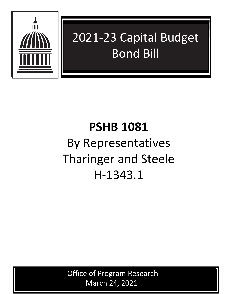

## 2021-23 Capital Budget Bond Bill

## **PSHB 1081** By Representatives Tharinger and Steele H-1343.1

Office of Program Research March 24, 2021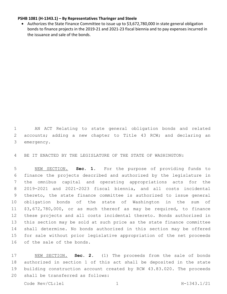## **PSHB 1081 (H-1343.1) – By Representatives Tharinger and Steele**

• Authorizes the State Finance Committee to issue up to \$3,672,780,000 in state general obligation bonds to finance projects in the 2019-21 and 2021-23 fiscal biennia and to pay expenses incurred in the issuance and sale of the bonds.

 AN ACT Relating to state general obligation bonds and related 2 accounts; adding a new chapter to Title 43 RCW; and declaring an 3 emergency.

BE IT ENACTED BY THE LEGISLATURE OF THE STATE OF WASHINGTON:

 NEW SECTION. **Sec. 1.** For the purpose of providing funds to finance the projects described and authorized by the legislature in the omnibus capital and operating appropriations acts for the 2019-2021 and 2021-2023 fiscal biennia, and all costs incidental thereto, the state finance committee is authorized to issue general obligation bonds of the state of Washington in the sum of \$3,672,780,000, or as much thereof as may be required, to finance these projects and all costs incidental thereto. Bonds authorized in this section may be sold at such price as the state finance committee shall determine. No bonds authorized in this section may be offered for sale without prior legislative appropriation of the net proceeds of the sale of the bonds.

 NEW SECTION. **Sec. 2.** (1) The proceeds from the sale of bonds authorized in section 1 of this act shall be deposited in the state building construction account created by RCW 43.83.020. The proceeds shall be transferred as follows: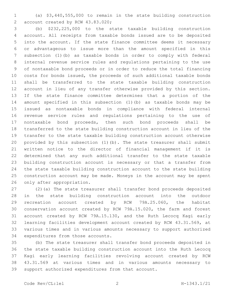(a) \$3,440,555,000 to remain in the state building construction 2 account created by RCW 43.83.020;

 (b) \$232,225,000 to the state taxable building construction account. All receipts from taxable bonds issued are to be deposited into the account. If the state finance committee deems it necessary or advantageous to issue more than the amount specified in this subsection (1)(b) as taxable bonds in order to comply with federal internal revenue service rules and regulations pertaining to the use of nontaxable bond proceeds or in order to reduce the total financing costs for bonds issued, the proceeds of such additional taxable bonds shall be transferred to the state taxable building construction account in lieu of any transfer otherwise provided by this section. If the state finance committee determines that a portion of the amount specified in this subsection (1)(b) as taxable bonds may be issued as nontaxable bonds in compliance with federal internal revenue service rules and regulations pertaining to the use of nontaxable bond proceeds, then such bond proceeds shall be transferred to the state building construction account in lieu of the transfer to the state taxable building construction account otherwise provided by this subsection (1)(b). The state treasurer shall submit written notice to the director of financial management if it is determined that any such additional transfer to the state taxable building construction account is necessary or that a transfer from the state taxable building construction account to the state building construction account may be made. Moneys in the account may be spent 26 only after appropriation.

 (2)(a) The state treasurer shall transfer bond proceeds deposited in the state building construction account into the outdoor recreation account created by RCW 79A.25.060, the habitat conservation account created by RCW 79A.15.020, the farm and forest account created by RCW 79A.15.130, and the Ruth Lecocq Kagi early learning facilities development account created by RCW 43.31.569, at various times and in various amounts necessary to support authorized 34 expenditures from those accounts.

 (b) The state treasurer shall transfer bond proceeds deposited in the state taxable building construction account into the Ruth Lecocq Kagi early learning facilities revolving account created by RCW 43.31.569 at various times and in various amounts necessary to support authorized expenditures from that account.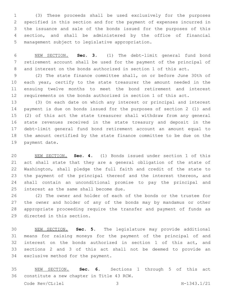(3) These proceeds shall be used exclusively for the purposes specified in this section and for the payment of expenses incurred in the issuance and sale of the bonds issued for the purposes of this section, and shall be administered by the office of financial 5 management subject to legislative appropriation.

 NEW SECTION. **Sec. 3.** (1) The debt-limit general fund bond retirement account shall be used for the payment of the principal of and interest on the bonds authorized in section 1 of this act.

 (2) The state finance committee shall, on or before June 30th of 10 each year, certify to the state treasurer the amount needed in the ensuing twelve months to meet the bond retirement and interest requirements on the bonds authorized in section 1 of this act.

 (3) On each date on which any interest or principal and interest payment is due on bonds issued for the purposes of section 2 (1) and (2) of this act the state treasurer shall withdraw from any general state revenues received in the state treasury and deposit in the debt-limit general fund bond retirement account an amount equal to the amount certified by the state finance committee to be due on the 19 payment date.

 NEW SECTION. **Sec. 4.** (1) Bonds issued under section 1 of this act shall state that they are a general obligation of the state of Washington, shall pledge the full faith and credit of the state to 23 the payment of the principal thereof and the interest thereon, and shall contain an unconditional promise to pay the principal and interest as the same shall become due.

 (2) The owner and holder of each of the bonds or the trustee for the owner and holder of any of the bonds may by mandamus or other appropriate proceeding require the transfer and payment of funds as 29 directed in this section.

 NEW SECTION. **Sec. 5.** The legislature may provide additional means for raising moneys for the payment of the principal of and interest on the bonds authorized in section 1 of this act, and sections 2 and 3 of this act shall not be deemed to provide an exclusive method for the payment.

 NEW SECTION. **Sec. 6.** Sections 1 through 5 of this act constitute a new chapter in Title 43 RCW.

Code Rev/CL:lel 3 H-1343.1/21